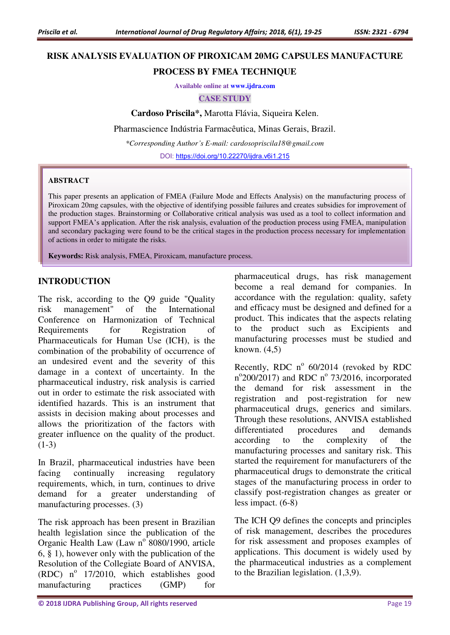# **RISK ANALYSIS EVALUATION OF PIROXICAM 20MG CAPSULES MANUFACTURE**

# **PROCESS BY FMEA TECHNIQUE**

**Available online at [www.ijdra.com](http://www.ijdra.com/)**

#### **CASE STUDY**

**Cardoso Priscila\*,** Marotta Flávia, Siqueira Kelen.

Pharmascience Indústria Farmacêutica, Minas Gerais, Brazil.

*\*Corresponding Author's E-mail: cardosopriscila18@gmail.com* 

DOI:<https://doi.org/10.22270/ijdra.v6i1.215>

#### **ABSTRACT**

This paper presents an application of FMEA (Failure Mode and Effects Analysis) on the manufacturing process of Piroxicam 20mg capsules, with the objective of identifying possible failures and creates subsidies for improvement of the production stages. Brainstorming or Collaborative critical analysis was used as a tool to collect information and support FMEA's application. After the risk analysis, evaluation of the production process using FMEA, manipulation and secondary packaging were found to be the critical stages in the production process necessary for implementation of actions in order to mitigate the risks.

**Keywords:** Risk analysis, FMEA, Piroxicam, manufacture process.

## **INTRODUCTION**

The risk, according to the Q9 guide "Quality risk management" of the International Conference on Harmonization of Technical Requirements for Registration of Pharmaceuticals for Human Use (ICH), is the combination of the probability of occurrence of an undesired event and the severity of this damage in a context of uncertainty. In the pharmaceutical industry, risk analysis is carried out in order to estimate the risk associated with identified hazards. This is an instrument that assists in decision making about processes and allows the prioritization of the factors with greater influence on the quality of the product. (1-3)

In Brazil, pharmaceutical industries have been facing continually increasing regulatory requirements, which, in turn, continues to drive demand for a greater understanding of manufacturing processes. (3)

The risk approach has been present in Brazilian health legislation since the publication of the Organic Health Law (Law nº 8080/1990, article 6, § 1), however only with the publication of the Resolution of the Collegiate Board of ANVISA,  $(RDC)$  nº 17/2010, which establishes good manufacturing practices (GMP) for

pharmaceutical drugs, has risk management become a real demand for companies. In accordance with the regulation: quality, safety and efficacy must be designed and defined for a product. This indicates that the aspects relating to the product such as Excipients and manufacturing processes must be studied and known. (4,5)

Recently, RDC  $n^{\circ}$  60/2014 (revoked by RDC n°200/2017) and RDC n° 73/2016, incorporated the demand for risk assessment in the registration and post-registration for new pharmaceutical drugs, generics and similars. Through these resolutions, ANVISA established differentiated procedures and demands according to the complexity of the manufacturing processes and sanitary risk. This started the requirement for manufacturers of the pharmaceutical drugs to demonstrate the critical stages of the manufacturing process in order to classify post-registration changes as greater or less impact. (6-8)

The ICH Q9 defines the concepts and principles of risk management, describes the procedures for risk assessment and proposes examples of applications. This document is widely used by the pharmaceutical industries as a complement to the Brazilian legislation. (1,3,9).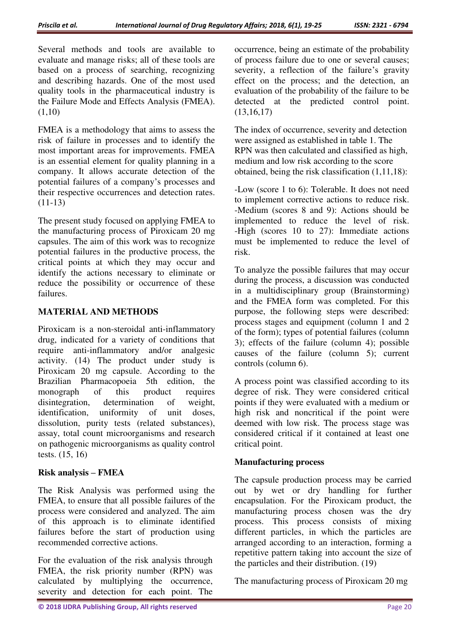Several methods and tools are available to evaluate and manage risks; all of these tools are based on a process of searching, recognizing and describing hazards. One of the most used quality tools in the pharmaceutical industry is the Failure Mode and Effects Analysis (FMEA).  $(1,10)$ 

FMEA is a methodology that aims to assess the risk of failure in processes and to identify the most important areas for improvements. FMEA is an essential element for quality planning in a company. It allows accurate detection of the potential failures of a company's processes and their respective occurrences and detection rates. (11-13)

The present study focused on applying FMEA to the manufacturing process of Piroxicam 20 mg capsules. The aim of this work was to recognize potential failures in the productive process, the critical points at which they may occur and identify the actions necessary to eliminate or reduce the possibility or occurrence of these failures.

# **MATERIAL AND METHODS**

Piroxicam is a non-steroidal anti-inflammatory drug, indicated for a variety of conditions that require anti-inflammatory and/or analgesic activity. (14) The product under study is Piroxicam 20 mg capsule. According to the Brazilian Pharmacopoeia 5th edition, the monograph of this product requires disintegration, determination of weight, identification, uniformity of unit doses, dissolution, purity tests (related substances), assay, total count microorganisms and research on pathogenic microorganisms as quality control tests. (15, 16)

## **Risk analysis – FMEA**

The Risk Analysis was performed using the FMEA, to ensure that all possible failures of the process were considered and analyzed. The aim of this approach is to eliminate identified failures before the start of production using recommended corrective actions.

For the evaluation of the risk analysis through FMEA, the risk priority number (RPN) was calculated by multiplying the occurrence, severity and detection for each point. The

occurrence, being an estimate of the probability of process failure due to one or several causes; severity, a reflection of the failure's gravity effect on the process; and the detection, an evaluation of the probability of the failure to be detected at the predicted control point.  $(13,16,17)$ 

The index of occurrence, severity and detection were assigned as established in table 1. The RPN was then calculated and classified as high, medium and low risk according to the score obtained, being the risk classification (1,11,18):

-Low (score 1 to 6): Tolerable. It does not need to implement corrective actions to reduce risk. -Medium (scores 8 and 9): Actions should be implemented to reduce the level of risk. -High (scores 10 to 27): Immediate actions must be implemented to reduce the level of risk.

To analyze the possible failures that may occur during the process, a discussion was conducted in a multidisciplinary group (Brainstorming) and the FMEA form was completed. For this purpose, the following steps were described: process stages and equipment (column 1 and 2 of the form); types of potential failures (column 3); effects of the failure (column 4); possible causes of the failure (column 5); current controls (column 6).

A process point was classified according to its degree of risk. They were considered critical points if they were evaluated with a medium or high risk and noncritical if the point were deemed with low risk. The process stage was considered critical if it contained at least one critical point.

# **Manufacturing process**

The capsule production process may be carried out by wet or dry handling for further encapsulation. For the Piroxicam product, the manufacturing process chosen was the dry process. This process consists of mixing different particles, in which the particles are arranged according to an interaction, forming a repetitive pattern taking into account the size of the particles and their distribution. (19)

The manufacturing process of Piroxicam 20 mg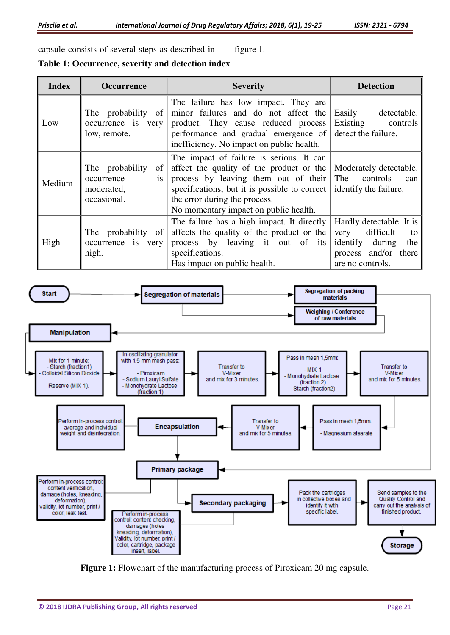capsule consists of several steps as described in figure 1.

**Table 1: Occurrence, severity and detection index** 

| <b>Index</b> | <b>Occurrence</b>                                                             | <b>Severity</b>                                                                                                                                                                                                                                                      | <b>Detection</b>                                                                                                             |  |  |  |  |
|--------------|-------------------------------------------------------------------------------|----------------------------------------------------------------------------------------------------------------------------------------------------------------------------------------------------------------------------------------------------------------------|------------------------------------------------------------------------------------------------------------------------------|--|--|--|--|
| Low          | The probability of<br>occurrence is very<br>low, remote.                      | The failure has low impact. They are<br>minor failures and do not affect the<br>product. They cause reduced process<br>performance and gradual emergence of<br>inefficiency. No impact on public health.                                                             | Easily<br>detectable.<br>Existing controls<br>detect the failure.                                                            |  |  |  |  |
| Medium       | The probability<br>of<br><i>is</i><br>occurrence<br>moderated,<br>occasional. | The impact of failure is serious. It can<br>affect the quality of the product or the<br>process by leaving them out of their The controls<br>specifications, but it is possible to correct<br>the error during the process.<br>No momentary impact on public health. | Moderately detectable.<br>can<br>identify the failure.                                                                       |  |  |  |  |
| High         | The probability of<br>occurrence is very<br>high.                             | The failure has a high impact. It directly<br>affects the quality of the product or the<br>process by leaving it out of its<br>specifications.<br>Has impact on public health.                                                                                       | Hardly detectable. It is<br>difficult<br>very<br>to<br>identify during<br>the<br>and/or there<br>process<br>are no controls. |  |  |  |  |



**Figure 1:** Flowchart of the manufacturing process of Piroxicam 20 mg capsule.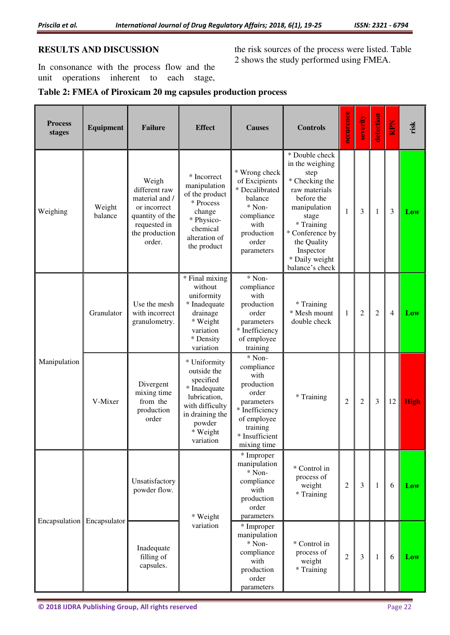# **RESULTS AND DISCUSSION**

In consonance with the process flow and the unit operations inherent to each stage,

the risk sources of the process were listed. Table 2 shows the study performed using FMEA.

# **Table 2: FMEA of Piroxicam 20 mg capsules production process**

| <b>Process</b><br>stages     | Equipment         | <b>Failure</b>                                                                                                          | <b>Effect</b>                                                                                                                                     | <b>Causes</b>                                                                                                                                   | <b>Controls</b>                                                                                                                                                                                                       | occurence      | severity       | detection      | <b>Nard</b> | risk        |
|------------------------------|-------------------|-------------------------------------------------------------------------------------------------------------------------|---------------------------------------------------------------------------------------------------------------------------------------------------|-------------------------------------------------------------------------------------------------------------------------------------------------|-----------------------------------------------------------------------------------------------------------------------------------------------------------------------------------------------------------------------|----------------|----------------|----------------|-------------|-------------|
| Weighing                     | Weight<br>balance | Weigh<br>different raw<br>material and /<br>or incorrect<br>quantity of the<br>requested in<br>the production<br>order. | * Incorrect<br>manipulation<br>of the product<br>* Process<br>change<br>* Physico-<br>chemical<br>alteration of<br>the product                    | * Wrong check<br>of Excipients<br>* Decalibrated<br>balance<br>* Non-<br>compliance<br>with<br>production<br>order<br>parameters                | * Double check<br>in the weighing<br>step<br>* Checking the<br>raw materials<br>before the<br>manipulation<br>stage<br>* Training<br>* Conference by<br>the Quality<br>Inspector<br>* Daily weight<br>balance's check | 1              | 3              | 1              | 3           | Low         |
| Manipulation                 | Granulator        | Use the mesh<br>with incorrect<br>granulometry.                                                                         | * Final mixing<br>without<br>uniformity<br>* Inadequate<br>drainage<br>* Weight<br>variation<br>* Density<br>variation                            | * Non-<br>compliance<br>with<br>production<br>order<br>parameters<br>* Inefficiency<br>of employee<br>training                                  | * Training<br>* Mesh mount<br>double check                                                                                                                                                                            | 1              | $\overline{2}$ | $\overline{2}$ | 4           | Low         |
|                              | V-Mixer           | Divergent<br>mixing time<br>from the<br>production<br>order                                                             | * Uniformity<br>outside the<br>specified<br>* Inadequate<br>lubrication,<br>with difficulty<br>in draining the<br>powder<br>* Weight<br>variation | * Non-<br>compliance<br>with<br>production<br>order<br>parameters<br>* Inefficiency<br>of employee<br>training<br>* Insufficient<br>mixing time | * Training                                                                                                                                                                                                            | $\overline{2}$ | $\overline{2}$ | 3              | 12          | <b>High</b> |
| Encapsulation   Encapsulator |                   | Unsatisfactory<br>powder flow.                                                                                          | * Weight<br>variation                                                                                                                             | * Improper<br>manipulation<br>* Non-<br>compliance<br>with<br>production<br>order<br>parameters                                                 | * Control in<br>process of<br>weight<br>* Training                                                                                                                                                                    | $\overline{2}$ | 3              | $\mathbf{1}$   | 6           | Low         |
|                              |                   | Inadequate<br>filling of<br>capsules.                                                                                   |                                                                                                                                                   | * Improper<br>manipulation<br>* Non-<br>compliance<br>with<br>production<br>order<br>parameters                                                 | * Control in<br>process of<br>weight<br>* Training                                                                                                                                                                    | $\overline{2}$ | 3              | 1              | 6           | Low         |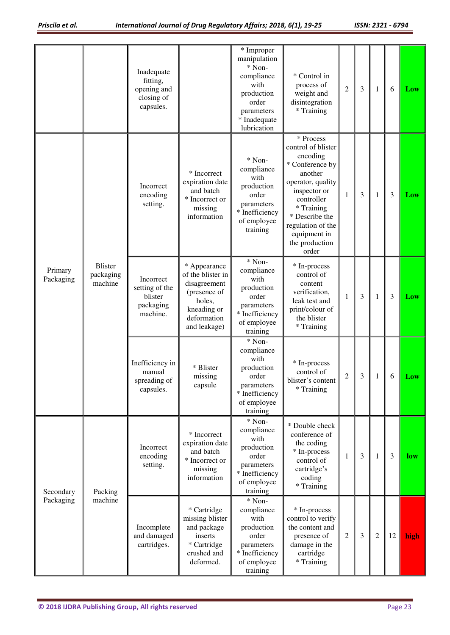|                        |                                        | Inadequate<br>fitting,<br>opening and<br>closing of<br>capsules. |                                                                                                                           | * Improper<br>manipulation<br>* Non-<br>compliance<br>with<br>production<br>order<br>parameters<br>* Inadequate<br>lubrication | * Control in<br>process of<br>weight and<br>disintegration<br>* Training                                                                                                                                                     | $\overline{c}$ | 3 | 1              | 6              | Low  |
|------------------------|----------------------------------------|------------------------------------------------------------------|---------------------------------------------------------------------------------------------------------------------------|--------------------------------------------------------------------------------------------------------------------------------|------------------------------------------------------------------------------------------------------------------------------------------------------------------------------------------------------------------------------|----------------|---|----------------|----------------|------|
| Primary<br>Packaging   | <b>Blister</b><br>packaging<br>machine | Incorrect<br>encoding<br>setting.                                | * Incorrect<br>expiration date<br>and batch<br>* Incorrect or<br>missing<br>information                                   | $*$ Non-<br>compliance<br>with<br>production<br>order<br>parameters<br>* Inefficiency<br>of employee<br>training               | * Process<br>control of blister<br>encoding<br>* Conference by<br>another<br>operator, quality<br>inspector or<br>controller<br>* Training<br>* Describe the<br>regulation of the<br>equipment in<br>the production<br>order | $\mathbf{1}$   | 3 | 1              | 3              | Low  |
|                        |                                        | Incorrect<br>setting of the<br>blister<br>packaging<br>machine.  | * Appearance<br>of the blister in<br>disagreement<br>(presence of<br>holes,<br>kneading or<br>deformation<br>and leakage) | * Non-<br>compliance<br>with<br>production<br>order<br>parameters<br>* Inefficiency<br>of employee<br>training                 | * In-process<br>control of<br>content<br>verification,<br>leak test and<br>print/colour of<br>the blister<br>* Training                                                                                                      | 1              | 3 | 1              | $\mathfrak{Z}$ | Low  |
|                        |                                        | Inefficiency in<br>manual<br>spreading of<br>capsules.           | * Blister<br>missing<br>capsule                                                                                           | * Non-<br>compliance<br>with<br>production<br>order<br>parameters<br>* Inefficiency<br>of employee<br>training                 | * In-process<br>control of<br>blister's content<br>* Training                                                                                                                                                                | $\overline{c}$ | 3 | 1              | 6              | Low  |
| Secondary<br>Packaging | Packing<br>machine                     | Incorrect<br>encoding<br>setting.                                | * Incorrect<br>expiration date<br>and batch<br>* Incorrect or<br>missing<br>information                                   | * Non-<br>compliance<br>with<br>production<br>order<br>parameters<br>* Inefficiency<br>of employee<br>training                 | * Double check<br>conference of<br>the coding<br>* In-process<br>control of<br>cartridge's<br>coding<br>* Training                                                                                                           | 1              | 3 | 1              | $\mathfrak{Z}$ | low  |
|                        |                                        | Incomplete<br>and damaged<br>cartridges.                         | * Cartridge<br>missing blister<br>and package<br>inserts<br>* Cartridge<br>crushed and<br>deformed.                       | * Non-<br>compliance<br>with<br>production<br>order<br>parameters<br>* Inefficiency<br>of employee<br>training                 | * In-process<br>control to verify<br>the content and<br>presence of<br>damage in the<br>cartridge<br>* Training                                                                                                              | 2              | 3 | $\overline{2}$ | 12             | high |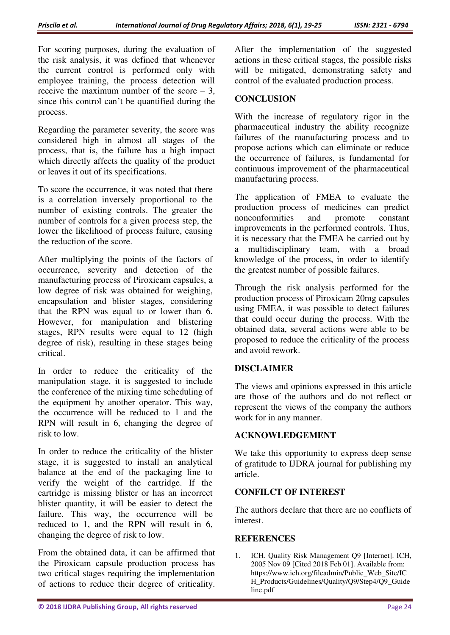For scoring purposes, during the evaluation of the risk analysis, it was defined that whenever the current control is performed only with employee training, the process detection will receive the maximum number of the score  $-3$ , since this control can't be quantified during the process.

Regarding the parameter severity, the score was considered high in almost all stages of the process, that is, the failure has a high impact which directly affects the quality of the product or leaves it out of its specifications.

To score the occurrence, it was noted that there is a correlation inversely proportional to the number of existing controls. The greater the number of controls for a given process step, the lower the likelihood of process failure, causing the reduction of the score.

After multiplying the points of the factors of occurrence, severity and detection of the manufacturing process of Piroxicam capsules, a low degree of risk was obtained for weighing, encapsulation and blister stages, considering that the RPN was equal to or lower than 6. However, for manipulation and blistering stages, RPN results were equal to 12 (high degree of risk), resulting in these stages being critical.

In order to reduce the criticality of the manipulation stage, it is suggested to include the conference of the mixing time scheduling of the equipment by another operator. This way, the occurrence will be reduced to 1 and the RPN will result in 6, changing the degree of risk to low.

In order to reduce the criticality of the blister stage, it is suggested to install an analytical balance at the end of the packaging line to verify the weight of the cartridge. If the cartridge is missing blister or has an incorrect blister quantity, it will be easier to detect the failure. This way, the occurrence will be reduced to 1, and the RPN will result in 6, changing the degree of risk to low.

From the obtained data, it can be affirmed that the Piroxicam capsule production process has two critical stages requiring the implementation of actions to reduce their degree of criticality.

After the implementation of the suggested actions in these critical stages, the possible risks will be mitigated, demonstrating safety and control of the evaluated production process.

# **CONCLUSION**

With the increase of regulatory rigor in the pharmaceutical industry the ability recognize failures of the manufacturing process and to propose actions which can eliminate or reduce the occurrence of failures, is fundamental for continuous improvement of the pharmaceutical manufacturing process.

The application of FMEA to evaluate the production process of medicines can predict nonconformities and promote constant improvements in the performed controls. Thus, it is necessary that the FMEA be carried out by a multidisciplinary team, with a broad knowledge of the process, in order to identify the greatest number of possible failures.

Through the risk analysis performed for the production process of Piroxicam 20mg capsules using FMEA, it was possible to detect failures that could occur during the process. With the obtained data, several actions were able to be proposed to reduce the criticality of the process and avoid rework.

# **DISCLAIMER**

The views and opinions expressed in this article are those of the authors and do not reflect or represent the views of the company the authors work for in any manner.

## **ACKNOWLEDGEMENT**

We take this opportunity to express deep sense of gratitude to IJDRA journal for publishing my article.

## **CONFILCT OF INTEREST**

The authors declare that there are no conflicts of interest.

## **REFERENCES**

1. ICH. Quality Risk Management Q9 [Internet]. ICH, 2005 Nov 09 [Cited 2018 Feb 01]. Available from: https://www.ich.org/fileadmin/Public\_Web\_Site/IC H\_Products/Guidelines/Quality/Q9/Step4/Q9\_Guide line.pdf